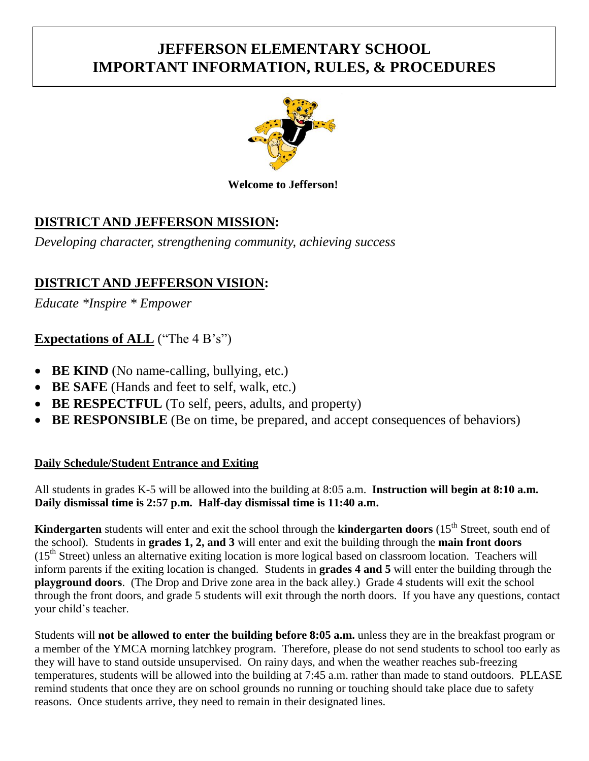# **JEFFERSON ELEMENTARY SCHOOL IMPORTANT INFORMATION, RULES, & PROCEDURES**



#### **Welcome to Jefferson!**

# **DISTRICT AND JEFFERSON MISSION:**

*Developing character, strengthening community, achieving success*

# **DISTRICT AND JEFFERSON VISION:**

*Educate \*Inspire \* Empower*

# **Expectations of ALL** ("The 4 B's")

- **BE KIND** (No name-calling, bullying, etc.)
- **BE SAFE** (Hands and feet to self, walk, etc.)
- **BE RESPECTFUL** (To self, peers, adults, and property)
- **BE RESPONSIBLE** (Be on time, be prepared, and accept consequences of behaviors)

# **Daily Schedule/Student Entrance and Exiting**

All students in grades K-5 will be allowed into the building at 8:05 a.m. **Instruction will begin at 8:10 a.m. Daily dismissal time is 2:57 p.m. Half-day dismissal time is 11:40 a.m.**

**Kindergarten** students will enter and exit the school through the **kindergarten doors** (15<sup>th</sup> Street, south end of the school). Students in **grades 1, 2, and 3** will enter and exit the building through the **main front doors** (15<sup>th</sup> Street) unless an alternative exiting location is more logical based on classroom location. Teachers will inform parents if the exiting location is changed. Students in **grades 4 and 5** will enter the building through the **playground doors**. (The Drop and Drive zone area in the back alley.) Grade 4 students will exit the school through the front doors, and grade 5 students will exit through the north doors. If you have any questions, contact your child's teacher.

Students will **not be allowed to enter the building before 8:05 a.m.** unless they are in the breakfast program or a member of the YMCA morning latchkey program. Therefore, please do not send students to school too early as they will have to stand outside unsupervised. On rainy days, and when the weather reaches sub-freezing temperatures, students will be allowed into the building at 7:45 a.m. rather than made to stand outdoors. PLEASE remind students that once they are on school grounds no running or touching should take place due to safety reasons. Once students arrive, they need to remain in their designated lines.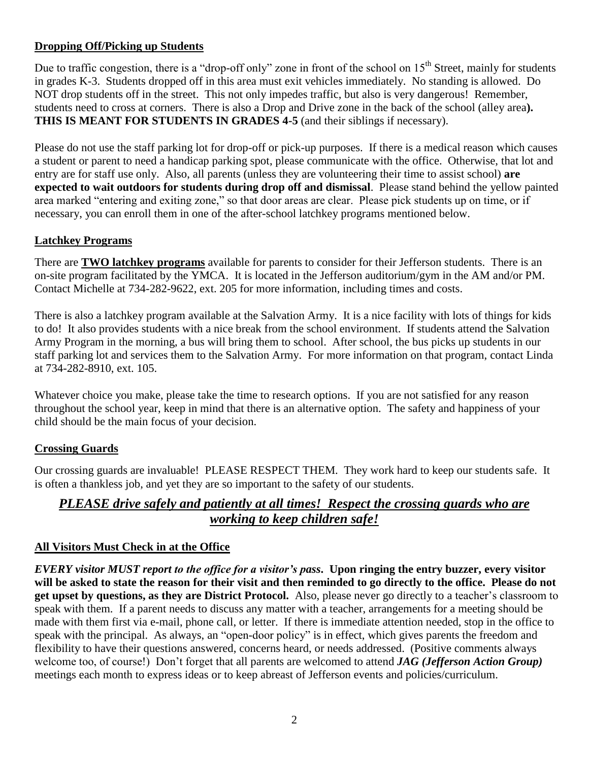## **Dropping Off/Picking up Students**

Due to traffic congestion, there is a "drop-off only" zone in front of the school on  $15<sup>th</sup>$  Street, mainly for students in grades K-3. Students dropped off in this area must exit vehicles immediately. No standing is allowed. Do NOT drop students off in the street. This not only impedes traffic, but also is very dangerous! Remember, students need to cross at corners. There is also a Drop and Drive zone in the back of the school (alley area**). THIS IS MEANT FOR STUDENTS IN GRADES 4-5** (and their siblings if necessary).

Please do not use the staff parking lot for drop-off or pick-up purposes. If there is a medical reason which causes a student or parent to need a handicap parking spot, please communicate with the office. Otherwise, that lot and entry are for staff use only. Also, all parents (unless they are volunteering their time to assist school) **are expected to wait outdoors for students during drop off and dismissal**. Please stand behind the yellow painted area marked "entering and exiting zone," so that door areas are clear. Please pick students up on time, or if necessary, you can enroll them in one of the after-school latchkey programs mentioned below.

## **Latchkey Programs**

There are **TWO latchkey programs** available for parents to consider for their Jefferson students. There is an on-site program facilitated by the YMCA. It is located in the Jefferson auditorium/gym in the AM and/or PM. Contact Michelle at 734-282-9622, ext. 205 for more information, including times and costs.

There is also a latchkey program available at the Salvation Army. It is a nice facility with lots of things for kids to do! It also provides students with a nice break from the school environment. If students attend the Salvation Army Program in the morning, a bus will bring them to school. After school, the bus picks up students in our staff parking lot and services them to the Salvation Army. For more information on that program, contact Linda at 734-282-8910, ext. 105.

Whatever choice you make, please take the time to research options. If you are not satisfied for any reason throughout the school year, keep in mind that there is an alternative option. The safety and happiness of your child should be the main focus of your decision.

#### **Crossing Guards**

Our crossing guards are invaluable! PLEASE RESPECT THEM. They work hard to keep our students safe. It is often a thankless job, and yet they are so important to the safety of our students.

# *PLEASE drive safely and patiently at all times! Respect the crossing guards who are working to keep children safe!*

#### **All Visitors Must Check in at the Office**

*EVERY visitor MUST report to the office for a visitor's pass***. Upon ringing the entry buzzer, every visitor will be asked to state the reason for their visit and then reminded to go directly to the office. Please do not get upset by questions, as they are District Protocol.** Also, please never go directly to a teacher's classroom to speak with them. If a parent needs to discuss any matter with a teacher, arrangements for a meeting should be made with them first via e-mail, phone call, or letter. If there is immediate attention needed, stop in the office to speak with the principal. As always, an "open-door policy" is in effect, which gives parents the freedom and flexibility to have their questions answered, concerns heard, or needs addressed. (Positive comments always welcome too, of course!) Don't forget that all parents are welcomed to attend *JAG (Jefferson Action Group)*  meetings each month to express ideas or to keep abreast of Jefferson events and policies/curriculum.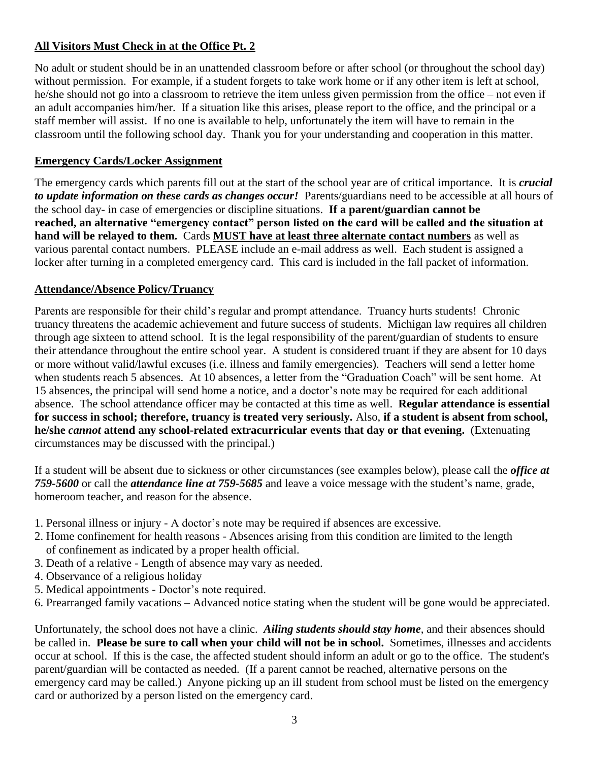# **All Visitors Must Check in at the Office Pt. 2**

No adult or student should be in an unattended classroom before or after school (or throughout the school day) without permission. For example, if a student forgets to take work home or if any other item is left at school, he/she should not go into a classroom to retrieve the item unless given permission from the office – not even if an adult accompanies him/her. If a situation like this arises, please report to the office, and the principal or a staff member will assist. If no one is available to help, unfortunately the item will have to remain in the classroom until the following school day. Thank you for your understanding and cooperation in this matter.

#### **Emergency Cards/Locker Assignment**

The emergency cards which parents fill out at the start of the school year are of critical importance. It is *crucial to update information on these cards as changes occur!* Parents/guardians need to be accessible at all hours of the school day- in case of emergencies or discipline situations. **If a parent/guardian cannot be reached, an alternative "emergency contact" person listed on the card will be called and the situation at hand will be relayed to them.** Cards **MUST have at least three alternate contact numbers** as well as various parental contact numbers. PLEASE include an e-mail address as well. Each student is assigned a locker after turning in a completed emergency card. This card is included in the fall packet of information.

#### **Attendance/Absence Policy/Truancy**

Parents are responsible for their child's regular and prompt attendance. Truancy hurts students! Chronic truancy threatens the academic achievement and future success of students. Michigan law requires all children through age sixteen to attend school. It is the legal responsibility of the parent/guardian of students to ensure their attendance throughout the entire school year. A student is considered truant if they are absent for 10 days or more without valid/lawful excuses (i.e. illness and family emergencies). Teachers will send a letter home when students reach 5 absences. At 10 absences, a letter from the "Graduation Coach" will be sent home. At 15 absences, the principal will send home a notice, and a doctor's note may be required for each additional absence. The school attendance officer may be contacted at this time as well. **Regular attendance is essential for success in school; therefore, truancy is treated very seriously.** Also, **if a student is absent from school, he/she** *cannot* **attend any school-related extracurricular events that day or that evening.** (Extenuating circumstances may be discussed with the principal.)

If a student will be absent due to sickness or other circumstances (see examples below), please call the *office at 759-5600* or call the *attendance line at 759-5685* and leave a voice message with the student's name, grade, homeroom teacher, and reason for the absence.

- 1. Personal illness or injury A doctor's note may be required if absences are excessive.
- 2. Home confinement for health reasons Absences arising from this condition are limited to the length of confinement as indicated by a proper health official.
- 3. Death of a relative Length of absence may vary as needed.
- 4. Observance of a religious holiday
- 5. Medical appointments Doctor's note required.
- 6. Prearranged family vacations Advanced notice stating when the student will be gone would be appreciated.

Unfortunately, the school does not have a clinic. *Ailing students should stay home*, and their absences should be called in. **Please be sure to call when your child will not be in school.** Sometimes, illnesses and accidents occur at school. If this is the case, the affected student should inform an adult or go to the office. The student's parent/guardian will be contacted as needed. (If a parent cannot be reached, alternative persons on the emergency card may be called.) Anyone picking up an ill student from school must be listed on the emergency card or authorized by a person listed on the emergency card.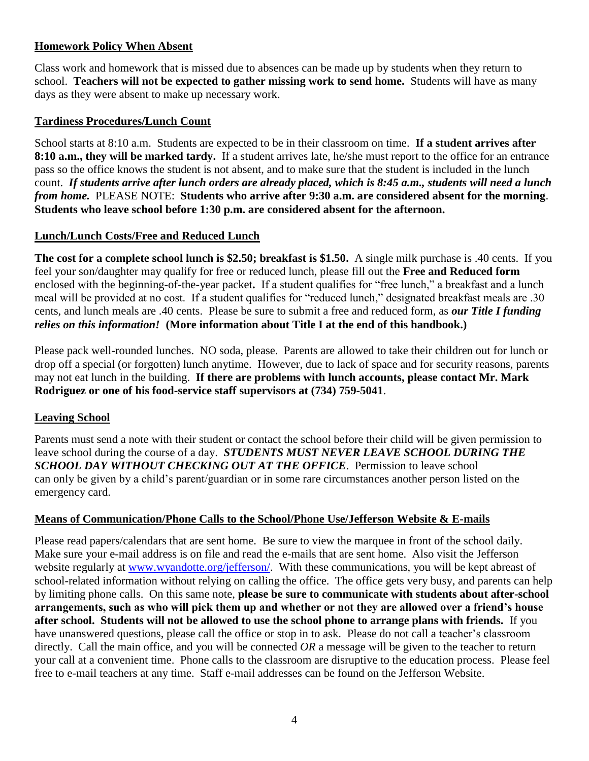#### **Homework Policy When Absent**

Class work and homework that is missed due to absences can be made up by students when they return to school. **Teachers will not be expected to gather missing work to send home.** Students will have as many days as they were absent to make up necessary work.

#### **Tardiness Procedures/Lunch Count**

School starts at 8:10 a.m. Students are expected to be in their classroom on time. **If a student arrives after 8:10 a.m., they will be marked tardy.** If a student arrives late, he/she must report to the office for an entrance pass so the office knows the student is not absent, and to make sure that the student is included in the lunch count. *If students arrive after lunch orders are already placed, which is 8:45 a.m., students will need a lunch from home.* PLEASE NOTE: **Students who arrive after 9:30 a.m. are considered absent for the morning**. **Students who leave school before 1:30 p.m. are considered absent for the afternoon.**

## **Lunch/Lunch Costs/Free and Reduced Lunch**

**The cost for a complete school lunch is \$2.50; breakfast is \$1.50.** A single milk purchase is .40 cents. If you feel your son/daughter may qualify for free or reduced lunch, please fill out the **Free and Reduced form** enclosed with the beginning-of-the-year packet**.** If a student qualifies for "free lunch," a breakfast and a lunch meal will be provided at no cost. If a student qualifies for "reduced lunch," designated breakfast meals are .30 cents, and lunch meals are .40 cents. Please be sure to submit a free and reduced form, as *our Title I funding relies on this information!* **(More information about Title I at the end of this handbook.)**

Please pack well-rounded lunches. NO soda, please. Parents are allowed to take their children out for lunch or drop off a special (or forgotten) lunch anytime. However, due to lack of space and for security reasons, parents may not eat lunch in the building. **If there are problems with lunch accounts, please contact Mr. Mark Rodriguez or one of his food-service staff supervisors at (734) 759-5041**.

#### **Leaving School**

Parents must send a note with their student or contact the school before their child will be given permission to leave school during the course of a day. *STUDENTS MUST NEVER LEAVE SCHOOL DURING THE SCHOOL DAY WITHOUT CHECKING OUT AT THE OFFICE*. Permission to leave school can only be given by a child's parent/guardian or in some rare circumstances another person listed on the emergency card.

# **Means of Communication/Phone Calls to the School/Phone Use/Jefferson Website & E-mails**

Please read papers/calendars that are sent home. Be sure to view the marquee in front of the school daily. Make sure your e-mail address is on file and read the e-mails that are sent home. Also visit the Jefferson website regularly at [www.wyandotte.org/jefferson/.](http://www.wyandotte.org/jefferson/) With these communications, you will be kept abreast of school-related information without relying on calling the office. The office gets very busy, and parents can help by limiting phone calls. On this same note, **please be sure to communicate with students about after-school arrangements, such as who will pick them up and whether or not they are allowed over a friend's house after school. Students will not be allowed to use the school phone to arrange plans with friends.** If you have unanswered questions, please call the office or stop in to ask. Please do not call a teacher's classroom directly. Call the main office, and you will be connected *OR* a message will be given to the teacher to return your call at a convenient time. Phone calls to the classroom are disruptive to the education process. Please feel free to e-mail teachers at any time. Staff e-mail addresses can be found on the Jefferson Website.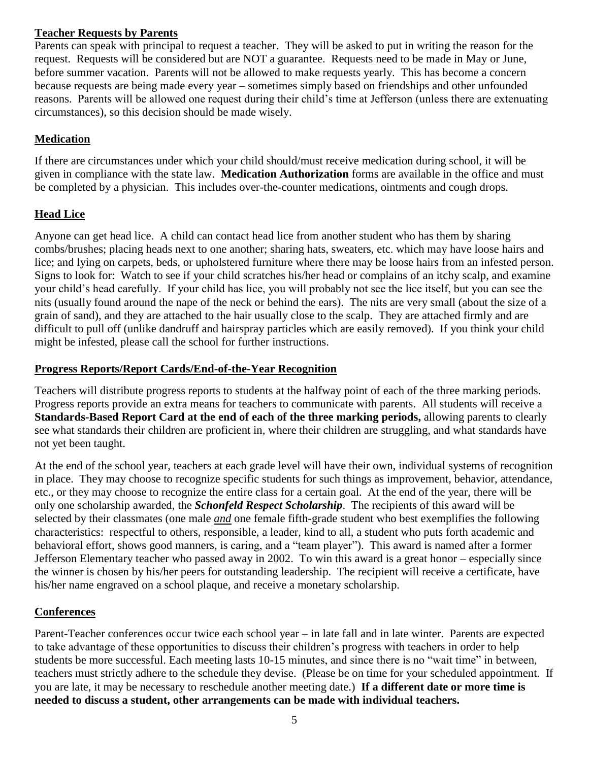#### **Teacher Requests by Parents**

Parents can speak with principal to request a teacher. They will be asked to put in writing the reason for the request. Requests will be considered but are NOT a guarantee. Requests need to be made in May or June, before summer vacation. Parents will not be allowed to make requests yearly. This has become a concern because requests are being made every year – sometimes simply based on friendships and other unfounded reasons. Parents will be allowed one request during their child's time at Jefferson (unless there are extenuating circumstances), so this decision should be made wisely.

# **Medication**

If there are circumstances under which your child should/must receive medication during school, it will be given in compliance with the state law. **Medication Authorization** forms are available in the office and must be completed by a physician. This includes over-the-counter medications, ointments and cough drops.

# **Head Lice**

Anyone can get head lice. A child can contact head lice from another student who has them by sharing combs/brushes; placing heads next to one another; sharing hats, sweaters, etc. which may have loose hairs and lice; and lying on carpets, beds, or upholstered furniture where there may be loose hairs from an infested person. Signs to look for: Watch to see if your child scratches his/her head or complains of an itchy scalp, and examine your child's head carefully. If your child has lice, you will probably not see the lice itself, but you can see the nits (usually found around the nape of the neck or behind the ears). The nits are very small (about the size of a grain of sand), and they are attached to the hair usually close to the scalp. They are attached firmly and are difficult to pull off (unlike dandruff and hairspray particles which are easily removed). If you think your child might be infested, please call the school for further instructions.

## **Progress Reports/Report Cards/End-of-the-Year Recognition**

Teachers will distribute progress reports to students at the halfway point of each of the three marking periods. Progress reports provide an extra means for teachers to communicate with parents. All students will receive a **Standards-Based Report Card at the end of each of the three marking periods,** allowing parents to clearly see what standards their children are proficient in, where their children are struggling, and what standards have not yet been taught.

At the end of the school year, teachers at each grade level will have their own, individual systems of recognition in place. They may choose to recognize specific students for such things as improvement, behavior, attendance, etc., or they may choose to recognize the entire class for a certain goal. At the end of the year, there will be only one scholarship awarded, the *Schonfeld Respect Scholarship*. The recipients of this award will be selected by their classmates (one male *and* one female fifth-grade student who best exemplifies the following characteristics: respectful to others, responsible, a leader, kind to all, a student who puts forth academic and behavioral effort, shows good manners, is caring, and a "team player"). This award is named after a former Jefferson Elementary teacher who passed away in 2002. To win this award is a great honor – especially since the winner is chosen by his/her peers for outstanding leadership. The recipient will receive a certificate, have his/her name engraved on a school plaque, and receive a monetary scholarship.

# **Conferences**

Parent-Teacher conferences occur twice each school year – in late fall and in late winter. Parents are expected to take advantage of these opportunities to discuss their children's progress with teachers in order to help students be more successful. Each meeting lasts 10-15 minutes, and since there is no "wait time" in between, teachers must strictly adhere to the schedule they devise. (Please be on time for your scheduled appointment. If you are late, it may be necessary to reschedule another meeting date.) **If a different date or more time is needed to discuss a student, other arrangements can be made with individual teachers.**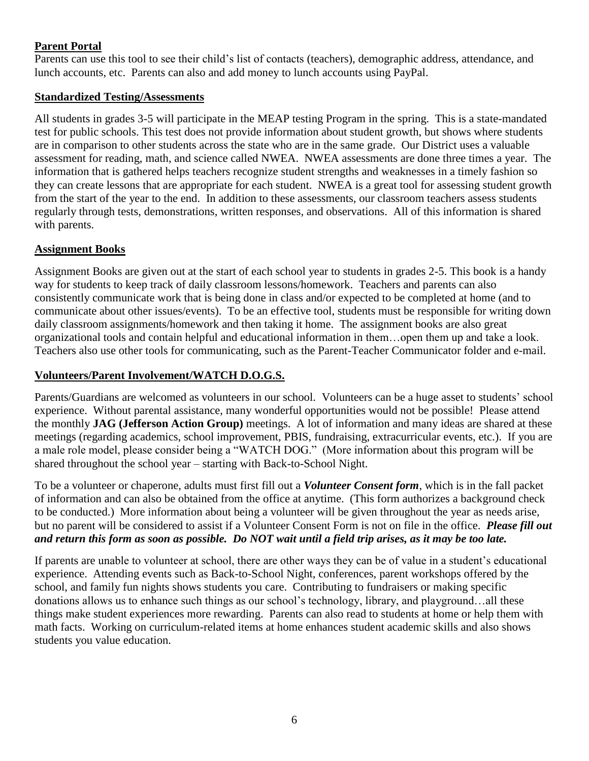## **Parent Portal**

Parents can use this tool to see their child's list of contacts (teachers), demographic address, attendance, and lunch accounts, etc. Parents can also and add money to lunch accounts using PayPal.

#### **Standardized Testing/Assessments**

All students in grades 3-5 will participate in the MEAP testing Program in the spring. This is a state-mandated test for public schools. This test does not provide information about student growth, but shows where students are in comparison to other students across the state who are in the same grade. Our District uses a valuable assessment for reading, math, and science called NWEA. NWEA assessments are done three times a year. The information that is gathered helps teachers recognize student strengths and weaknesses in a timely fashion so they can create lessons that are appropriate for each student. NWEA is a great tool for assessing student growth from the start of the year to the end. In addition to these assessments, our classroom teachers assess students regularly through tests, demonstrations, written responses, and observations. All of this information is shared with parents.

#### **Assignment Books**

Assignment Books are given out at the start of each school year to students in grades 2-5. This book is a handy way for students to keep track of daily classroom lessons/homework. Teachers and parents can also consistently communicate work that is being done in class and/or expected to be completed at home (and to communicate about other issues/events). To be an effective tool, students must be responsible for writing down daily classroom assignments/homework and then taking it home. The assignment books are also great organizational tools and contain helpful and educational information in them…open them up and take a look. Teachers also use other tools for communicating, such as the Parent-Teacher Communicator folder and e-mail.

#### **Volunteers/Parent Involvement/WATCH D.O.G.S.**

Parents/Guardians are welcomed as volunteers in our school. Volunteers can be a huge asset to students' school experience. Without parental assistance, many wonderful opportunities would not be possible! Please attend the monthly **JAG (Jefferson Action Group)** meetings. A lot of information and many ideas are shared at these meetings (regarding academics, school improvement, PBIS, fundraising, extracurricular events, etc.). If you are a male role model, please consider being a "WATCH DOG." (More information about this program will be shared throughout the school year – starting with Back-to-School Night.

To be a volunteer or chaperone, adults must first fill out a *Volunteer Consent form*, which is in the fall packet of information and can also be obtained from the office at anytime. (This form authorizes a background check to be conducted.) More information about being a volunteer will be given throughout the year as needs arise, but no parent will be considered to assist if a Volunteer Consent Form is not on file in the office. *Please fill out and return this form as soon as possible. Do NOT wait until a field trip arises, as it may be too late.* 

If parents are unable to volunteer at school, there are other ways they can be of value in a student's educational experience. Attending events such as Back-to-School Night, conferences, parent workshops offered by the school, and family fun nights shows students you care. Contributing to fundraisers or making specific donations allows us to enhance such things as our school's technology, library, and playground…all these things make student experiences more rewarding. Parents can also read to students at home or help them with math facts. Working on curriculum-related items at home enhances student academic skills and also shows students you value education.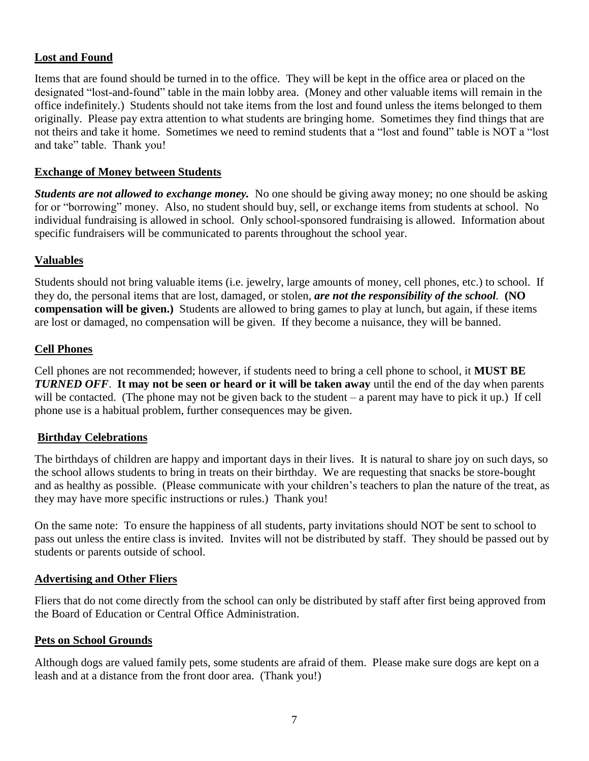#### **Lost and Found**

Items that are found should be turned in to the office. They will be kept in the office area or placed on the designated "lost-and-found" table in the main lobby area. (Money and other valuable items will remain in the office indefinitely.) Students should not take items from the lost and found unless the items belonged to them originally. Please pay extra attention to what students are bringing home. Sometimes they find things that are not theirs and take it home. Sometimes we need to remind students that a "lost and found" table is NOT a "lost and take" table. Thank you!

#### **Exchange of Money between Students**

*Students are not allowed to exchange money.* No one should be giving away money; no one should be asking for or "borrowing" money. Also, no student should buy, sell, or exchange items from students at school. No individual fundraising is allowed in school. Only school-sponsored fundraising is allowed. Information about specific fundraisers will be communicated to parents throughout the school year.

#### **Valuables**

Students should not bring valuable items (i.e. jewelry, large amounts of money, cell phones, etc.) to school. If they do, the personal items that are lost, damaged, or stolen, *are not the responsibility of the school.* **(NO compensation will be given.)** Students are allowed to bring games to play at lunch, but again, if these items are lost or damaged, no compensation will be given. If they become a nuisance, they will be banned.

#### **Cell Phones**

Cell phones are not recommended; however, if students need to bring a cell phone to school, it **MUST BE**  *TURNED OFF*. **It may not be seen or heard or it will be taken away** until the end of the day when parents will be contacted. (The phone may not be given back to the student – a parent may have to pick it up.) If cell phone use is a habitual problem, further consequences may be given.

#### **Birthday Celebrations**

The birthdays of children are happy and important days in their lives. It is natural to share joy on such days, so the school allows students to bring in treats on their birthday. We are requesting that snacks be store-bought and as healthy as possible. (Please communicate with your children's teachers to plan the nature of the treat, as they may have more specific instructions or rules.) Thank you!

On the same note: To ensure the happiness of all students, party invitations should NOT be sent to school to pass out unless the entire class is invited. Invites will not be distributed by staff. They should be passed out by students or parents outside of school.

#### **Advertising and Other Fliers**

Fliers that do not come directly from the school can only be distributed by staff after first being approved from the Board of Education or Central Office Administration.

#### **Pets on School Grounds**

Although dogs are valued family pets, some students are afraid of them. Please make sure dogs are kept on a leash and at a distance from the front door area. (Thank you!)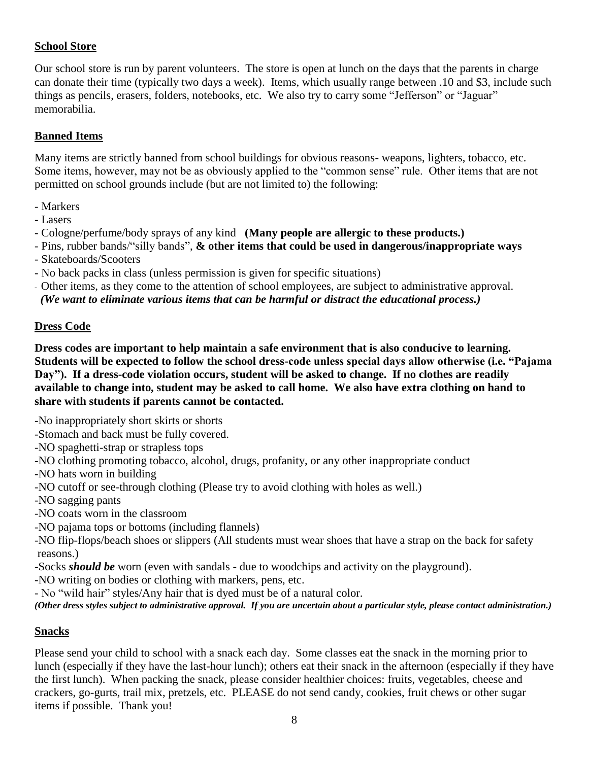# **School Store**

Our school store is run by parent volunteers. The store is open at lunch on the days that the parents in charge can donate their time (typically two days a week). Items, which usually range between .10 and \$3, include such things as pencils, erasers, folders, notebooks, etc. We also try to carry some "Jefferson" or "Jaguar" memorabilia.

## **Banned Items**

Many items are strictly banned from school buildings for obvious reasons- weapons, lighters, tobacco, etc. Some items, however, may not be as obviously applied to the "common sense" rule. Other items that are not permitted on school grounds include (but are not limited to) the following:

- Markers
- Lasers
- Cologne/perfume/body sprays of any kind **(Many people are allergic to these products.)**
- Pins, rubber bands/"silly bands", **& other items that could be used in dangerous/inappropriate ways** - Skateboards/Scooters
- No back packs in class (unless permission is given for specific situations)

- Other items, as they come to the attention of school employees, are subject to administrative approval.  *(We want to eliminate various items that can be harmful or distract the educational process.)*

#### **Dress Code**

**Dress codes are important to help maintain a safe environment that is also conducive to learning. Students will be expected to follow the school dress-code unless special days allow otherwise (i.e. "Pajama Day"). If a dress-code violation occurs, student will be asked to change. If no clothes are readily available to change into, student may be asked to call home. We also have extra clothing on hand to share with students if parents cannot be contacted.**

-No inappropriately short skirts or shorts

- -Stomach and back must be fully covered.
- -NO spaghetti-strap or strapless tops
- -NO clothing promoting tobacco, alcohol, drugs, profanity, or any other inappropriate conduct
- -NO hats worn in building
- -NO cutoff or see-through clothing (Please try to avoid clothing with holes as well.)
- -NO sagging pants
- -NO coats worn in the classroom
- -NO pajama tops or bottoms (including flannels)
- -NO flip-flops/beach shoes or slippers (All students must wear shoes that have a strap on the back for safety reasons.)
- -Socks *should be* worn (even with sandals due to woodchips and activity on the playground).
- -NO writing on bodies or clothing with markers, pens, etc.
- No "wild hair" styles/Any hair that is dyed must be of a natural color.

*(Other dress styles subject to administrative approval. If you are uncertain about a particular style, please contact administration.)*

# **Snacks**

Please send your child to school with a snack each day. Some classes eat the snack in the morning prior to lunch (especially if they have the last-hour lunch); others eat their snack in the afternoon (especially if they have the first lunch). When packing the snack, please consider healthier choices: fruits, vegetables, cheese and crackers, go-gurts, trail mix, pretzels, etc. PLEASE do not send candy, cookies, fruit chews or other sugar items if possible. Thank you!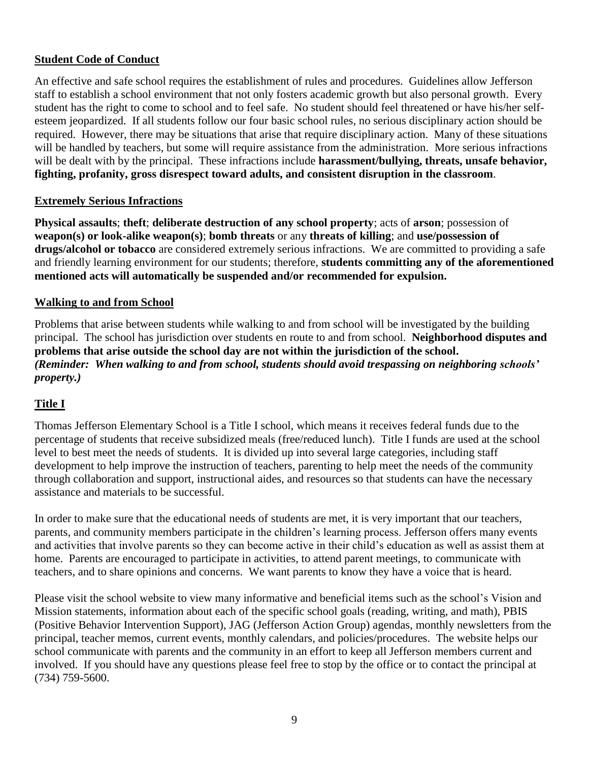#### **Student Code of Conduct**

An effective and safe school requires the establishment of rules and procedures. Guidelines allow Jefferson staff to establish a school environment that not only fosters academic growth but also personal growth. Every student has the right to come to school and to feel safe. No student should feel threatened or have his/her selfesteem jeopardized. If all students follow our four basic school rules, no serious disciplinary action should be required. However, there may be situations that arise that require disciplinary action. Many of these situations will be handled by teachers, but some will require assistance from the administration. More serious infractions will be dealt with by the principal. These infractions include **harassment/bullying, threats, unsafe behavior, fighting, profanity, gross disrespect toward adults, and consistent disruption in the classroom**.

#### **Extremely Serious Infractions**

**Physical assaults**; **theft**; **deliberate destruction of any school property**; acts of **arson**; possession of **weapon(s) or look-alike weapon(s)**; **bomb threats** or any **threats of killing**; and **use/possession of drugs/alcohol or tobacco** are considered extremely serious infractions. We are committed to providing a safe and friendly learning environment for our students; therefore, **students committing any of the aforementioned mentioned acts will automatically be suspended and/or recommended for expulsion.**

#### **Walking to and from School**

Problems that arise between students while walking to and from school will be investigated by the building principal. The school has jurisdiction over students en route to and from school. **Neighborhood disputes and problems that arise outside the school day are not within the jurisdiction of the school.** *(Reminder: When walking to and from school, students should avoid trespassing on neighboring schools' property.)* 

# **Title I**

Thomas Jefferson Elementary School is a Title I school, which means it receives federal funds due to the percentage of students that receive subsidized meals (free/reduced lunch). Title I funds are used at the school level to best meet the needs of students. It is divided up into several large categories, including staff development to help improve the instruction of teachers, parenting to help meet the needs of the community through collaboration and support, instructional aides, and resources so that students can have the necessary assistance and materials to be successful.

In order to make sure that the educational needs of students are met, it is very important that our teachers, parents, and community members participate in the children's learning process. Jefferson offers many events and activities that involve parents so they can become active in their child's education as well as assist them at home. Parents are encouraged to participate in activities, to attend parent meetings, to communicate with teachers, and to share opinions and concerns. We want parents to know they have a voice that is heard.

Please visit the school website to view many informative and beneficial items such as the school's Vision and Mission statements, information about each of the specific school goals (reading, writing, and math), PBIS (Positive Behavior Intervention Support), JAG (Jefferson Action Group) agendas, monthly newsletters from the principal, teacher memos, current events, monthly calendars, and policies/procedures. The website helps our school communicate with parents and the community in an effort to keep all Jefferson members current and involved. If you should have any questions please feel free to stop by the office or to contact the principal at (734) 759-5600.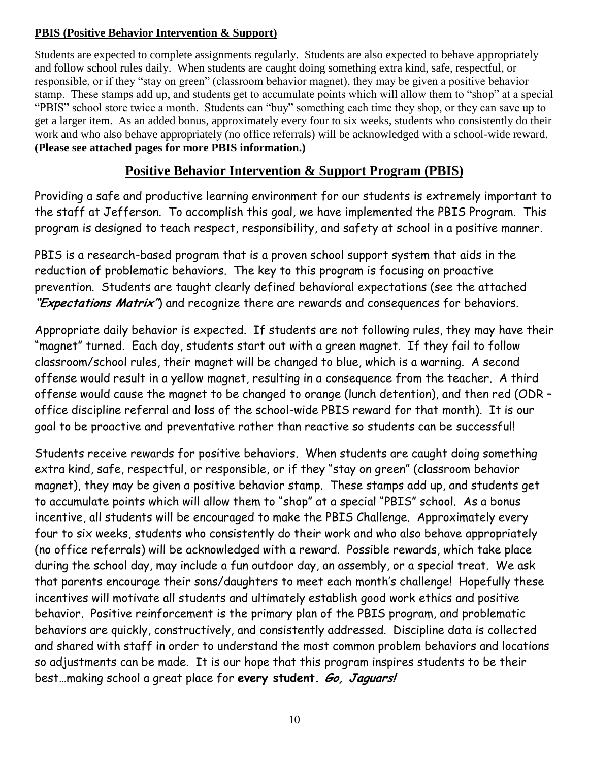# **PBIS (Positive Behavior Intervention & Support)**

Students are expected to complete assignments regularly. Students are also expected to behave appropriately and follow school rules daily. When students are caught doing something extra kind, safe, respectful, or responsible, or if they "stay on green" (classroom behavior magnet), they may be given a positive behavior stamp. These stamps add up, and students get to accumulate points which will allow them to "shop" at a special "PBIS" school store twice a month. Students can "buy" something each time they shop, or they can save up to get a larger item. As an added bonus, approximately every four to six weeks, students who consistently do their work and who also behave appropriately (no office referrals) will be acknowledged with a school-wide reward. **(Please see attached pages for more PBIS information.)**

# **Positive Behavior Intervention & Support Program (PBIS)**

Providing a safe and productive learning environment for our students is extremely important to the staff at Jefferson. To accomplish this goal, we have implemented the PBIS Program. This program is designed to teach respect, responsibility, and safety at school in a positive manner.

PBIS is a research-based program that is a proven school support system that aids in the reduction of problematic behaviors. The key to this program is focusing on proactive prevention. Students are taught clearly defined behavioral expectations (see the attached **"Expectations Matrix"**) and recognize there are rewards and consequences for behaviors.

Appropriate daily behavior is expected. If students are not following rules, they may have their "magnet" turned. Each day, students start out with a green magnet. If they fail to follow classroom/school rules, their magnet will be changed to blue, which is a warning. A second offense would result in a yellow magnet, resulting in a consequence from the teacher. A third offense would cause the magnet to be changed to orange (lunch detention), and then red (ODR – office discipline referral and loss of the school-wide PBIS reward for that month). It is our goal to be proactive and preventative rather than reactive so students can be successful!

Students receive rewards for positive behaviors. When students are caught doing something extra kind, safe, respectful, or responsible, or if they "stay on green" (classroom behavior magnet), they may be given a positive behavior stamp. These stamps add up, and students get to accumulate points which will allow them to "shop" at a special "PBIS" school. As a bonus incentive, all students will be encouraged to make the PBIS Challenge. Approximately every four to six weeks, students who consistently do their work and who also behave appropriately (no office referrals) will be acknowledged with a reward. Possible rewards, which take place during the school day, may include a fun outdoor day, an assembly, or a special treat. We ask that parents encourage their sons/daughters to meet each month's challenge! Hopefully these incentives will motivate all students and ultimately establish good work ethics and positive behavior. Positive reinforcement is the primary plan of the PBIS program, and problematic behaviors are quickly, constructively, and consistently addressed. Discipline data is collected and shared with staff in order to understand the most common problem behaviors and locations so adjustments can be made. It is our hope that this program inspires students to be their best…making school a great place for **every student. Go, Jaguars!**